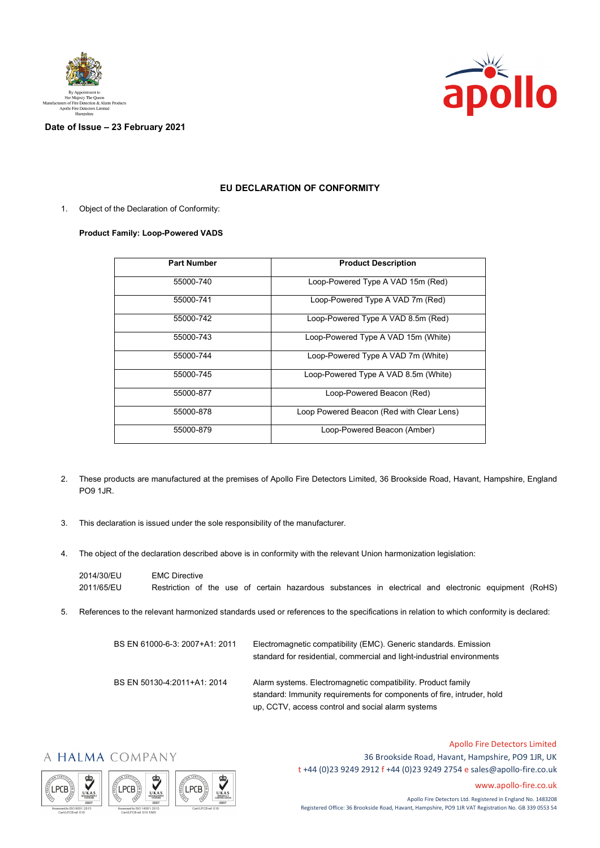



## **Date of Issue – 23 February 2021**

## **EU DECLARATION OF CONFORMITY**

1. Object of the Declaration of Conformity:

## **Product Family: Loop-Powered VADS**

| <b>Part Number</b> | <b>Product Description</b>                |
|--------------------|-------------------------------------------|
| 55000-740          | Loop-Powered Type A VAD 15m (Red)         |
| 55000-741          | Loop-Powered Type A VAD 7m (Red)          |
| 55000-742          | Loop-Powered Type A VAD 8.5m (Red)        |
| 55000-743          | Loop-Powered Type A VAD 15m (White)       |
| 55000-744          | Loop-Powered Type A VAD 7m (White)        |
| 55000-745          | Loop-Powered Type A VAD 8.5m (White)      |
| 55000-877          | Loop-Powered Beacon (Red)                 |
| 55000-878          | Loop Powered Beacon (Red with Clear Lens) |
| 55000-879          | Loop-Powered Beacon (Amber)               |

- 2. These products are manufactured at the premises of Apollo Fire Detectors Limited, 36 Brookside Road, Havant, Hampshire, England PO9 1JR.
- 3. This declaration is issued under the sole responsibility of the manufacturer.
- 4. The object of the declaration described above is in conformity with the relevant Union harmonization legislation:

| 2014/30/EU | <b>EMC Directive</b>                                                                                 |
|------------|------------------------------------------------------------------------------------------------------|
| 2011/65/EU | Restriction of the use of certain hazardous substances in electrical and electronic equipment (RoHS) |

5. References to the relevant harmonized standards used or references to the specifications in relation to which conformity is declared:

| BS EN 61000-6-3: 2007+A1: 2011 | Electromagnetic compatibility (EMC). Generic standards. Emission<br>standard for residential, commercial and light-industrial environments                                                  |
|--------------------------------|---------------------------------------------------------------------------------------------------------------------------------------------------------------------------------------------|
| BS EN 50130-4.2011+A1: 2014    | Alarm systems. Electromagnetic compatibility. Product family<br>standard: Immunity requirements for components of fire, intruder, hold<br>up, CCTV, access control and social alarm systems |

## A HALMA COMPANY







Apollo Fire Detectors Limited 36 Brookside Road, Havant, Hampshire, PO9 1JR, UK t +44 (0)23 9249 2912 f +44 (0)23 9249 2754 [e sales@apollo-fire.co.uk](mailto:sales@apollo-fire.co.uk)

[www.apollo-fire.co.uk](http://www.apollo-fire.co.uk/)

Apollo Fire Detectors Ltd. Registered in England No. 1483208 Registered Office: 36 Brookside Road, Havant, Hampshire, PO9 1JR VAT Registration No. GB 339 0553 54